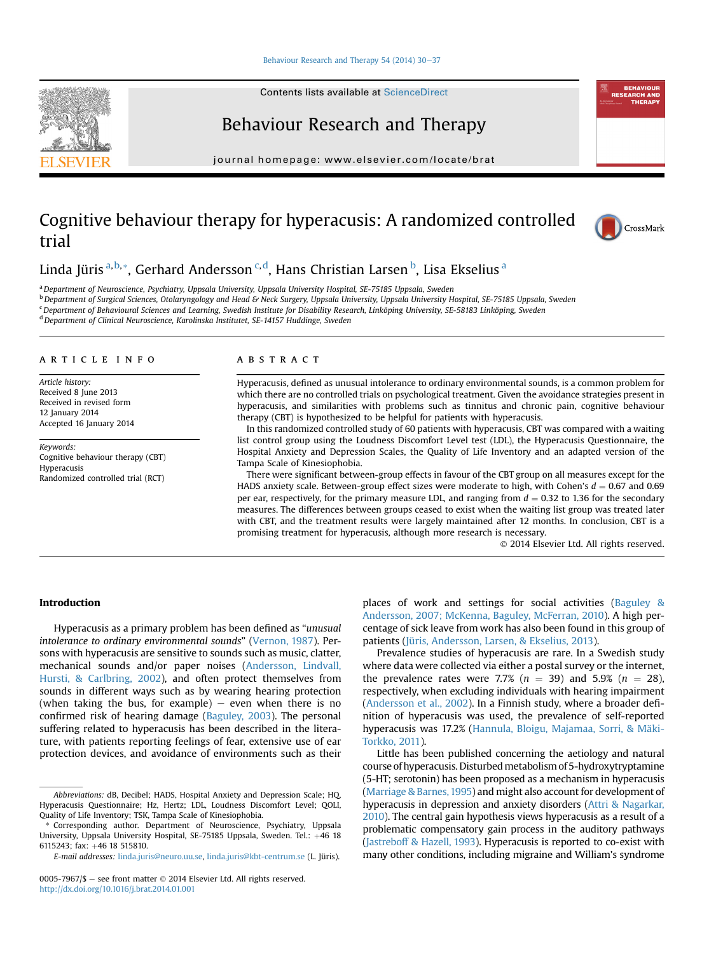### [Behaviour Research and Therapy 54 \(2014\) 30](http://dx.doi.org/10.1016/j.brat.2014.01.001)-[37](http://dx.doi.org/10.1016/j.brat.2014.01.001)

Contents lists available at ScienceDirect

Behaviour Research and Therapy

journal homepage: [www.elsevier.com/locate/brat](http://www.elsevier.com/locate/brat)

# Cognitive behaviour therapy for hyperacusis: A randomized controlled trial



# Linda Jüris <sup>a,b,</sup>\*, Gerhard Andersson <sup>c,d</sup>, Hans Christian Larsen <sup>b</sup>, Lisa Ekselius <sup>a</sup>

<sup>a</sup> Department of Neuroscience, Psychiatry, Uppsala University, Uppsala University Hospital, SE-75185 Uppsala, Sweden

**b** Department of Surgical Sciences, Otolaryngology and Head & Neck Surgery, Uppsala University, Uppsala University Hospital, SE-75185 Uppsala, Sweden

<sup>c</sup> Department of Behavioural Sciences and Learning, Swedish Institute for Disability Research, Linköping University, SE-58183 Linköping, Sweden

<sup>d</sup> Department of Clinical Neuroscience, Karolinska Institutet, SE-14157 Huddinge, Sweden

### article info

Article history: Received 8 June 2013 Received in revised form 12 January 2014 Accepted 16 January 2014

Keywords: Cognitive behaviour therapy (CBT) Hyperacusis Randomized controlled trial (RCT)

# ABSTRACT

Hyperacusis, defined as unusual intolerance to ordinary environmental sounds, is a common problem for which there are no controlled trials on psychological treatment. Given the avoidance strategies present in hyperacusis, and similarities with problems such as tinnitus and chronic pain, cognitive behaviour therapy (CBT) is hypothesized to be helpful for patients with hyperacusis.

In this randomized controlled study of 60 patients with hyperacusis, CBT was compared with a waiting list control group using the Loudness Discomfort Level test (LDL), the Hyperacusis Questionnaire, the Hospital Anxiety and Depression Scales, the Quality of Life Inventory and an adapted version of the Tampa Scale of Kinesiophobia.

There were significant between-group effects in favour of the CBT group on all measures except for the HADS anxiety scale. Between-group effect sizes were moderate to high, with Cohen's  $d = 0.67$  and 0.69 per ear, respectively, for the primary measure LDL, and ranging from  $d = 0.32$  to 1.36 for the secondary measures. The differences between groups ceased to exist when the waiting list group was treated later with CBT, and the treatment results were largely maintained after 12 months. In conclusion, CBT is a promising treatment for hyperacusis, although more research is necessary.

2014 Elsevier Ltd. All rights reserved.

# Introduction

Hyperacusis as a primary problem has been defined as "unusual intolerance to ordinary environmental sounds" [\(Vernon, 1987\)](#page-7-0). Persons with hyperacusis are sensitive to sounds such as music, clatter, mechanical sounds and/or paper noises ([Andersson, Lindvall,](#page-6-0) [Hursti, & Carlbring, 2002](#page-6-0)), and often protect themselves from sounds in different ways such as by wearing hearing protection (when taking the bus, for example)  $-$  even when there is no confirmed risk of hearing damage ([Baguley, 2003\)](#page-6-0). The personal suffering related to hyperacusis has been described in the literature, with patients reporting feelings of fear, extensive use of ear protection devices, and avoidance of environments such as their places of work and settings for social activities ([Baguley &](#page-6-0) [Andersson, 2007; McKenna, Baguley, McFerran, 2010\)](#page-6-0). A high percentage of sick leave from work has also been found in this group of patients ([Jüris, Andersson, Larsen, & Ekselius, 2013\)](#page-6-0).

Prevalence studies of hyperacusis are rare. In a Swedish study where data were collected via either a postal survey or the internet, the prevalence rates were 7.7% ( $n = 39$ ) and 5.9% ( $n = 28$ ), respectively, when excluding individuals with hearing impairment ([Andersson et al., 2002\)](#page-6-0). In a Finnish study, where a broader definition of hyperacusis was used, the prevalence of self-reported hyperacusis was 17.2% [\(Hannula, Bloigu, Majamaa, Sorri, & Mäki-](#page-6-0)[Torkko, 2011\)](#page-6-0).

Little has been published concerning the aetiology and natural course of hyperacusis. Disturbedmetabolism of 5-hydroxytryptamine (5-HT; serotonin) has been proposed as a mechanism in hyperacusis ([Marriage & Barnes,1995\)](#page-6-0) and might also account for development of hyperacusis in depression and anxiety disorders [\(Attri & Nagarkar,](#page-6-0) [2010\)](#page-6-0). The central gain hypothesis views hyperacusis as a result of a problematic compensatory gain process in the auditory pathways ([Jastreboff & Hazell, 1993\)](#page-6-0). Hyperacusis is reported to co-exist with many other conditions, including migraine and William's syndrome



Abbreviations: dB, Decibel; HADS, Hospital Anxiety and Depression Scale; HQ, Hyperacusis Questionnaire; Hz, Hertz; LDL, Loudness Discomfort Level; QOLI, Quality of Life Inventory; TSK, Tampa Scale of Kinesiophobia.

<sup>\*</sup> Corresponding author. Department of Neuroscience, Psychiatry, Uppsala University, Uppsala University Hospital, SE-75185 Uppsala, Sweden. Tel.: +46 18 6115243; fax:  $+46$  18 515810.

E-mail addresses: [linda.juris@neuro.uu.se](mailto:linda.juris@neuro.uu.se), [linda.juris@kbt-centrum.se](mailto:linda.juris@kbt-centrum.se) (L. Jüris).

<sup>0005-7967/\$ -</sup> see front matter  $\odot$  2014 Elsevier Ltd. All rights reserved. <http://dx.doi.org/10.1016/j.brat.2014.01.001>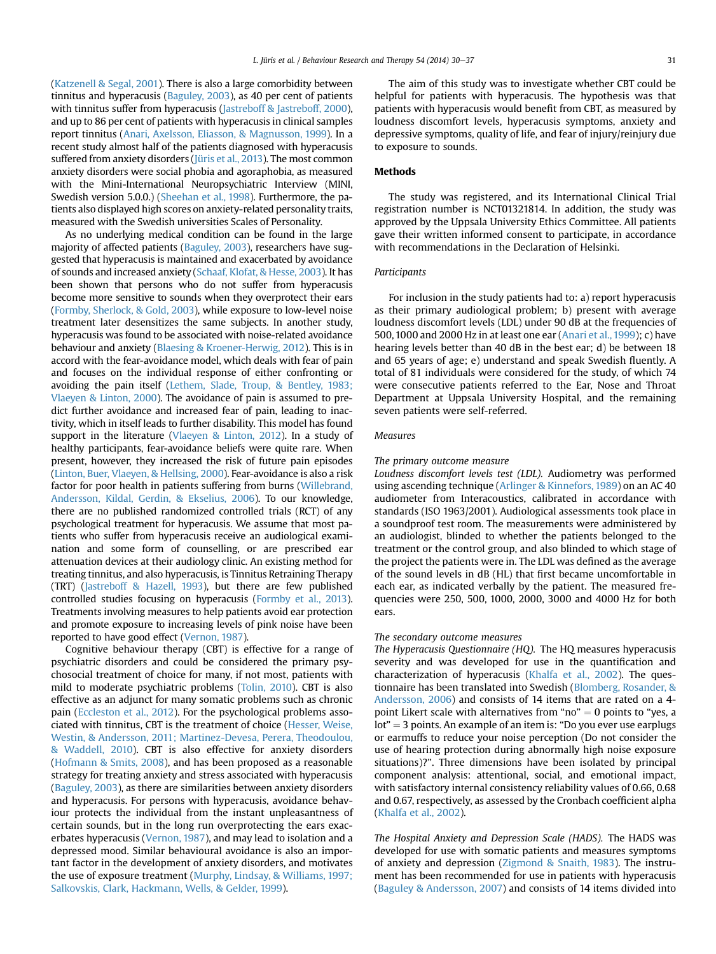[\(Katzenell & Segal, 2001\)](#page-6-0). There is also a large comorbidity between tinnitus and hyperacusis [\(Baguley, 2003](#page-6-0)), as 40 per cent of patients with tinnitus suffer from hyperacusis [\(Jastreboff & Jastreboff, 2000\)](#page-6-0), and up to 86 per cent of patients with hyperacusis in clinical samples report tinnitus ([Anari, Axelsson, Eliasson, & Magnusson, 1999\)](#page-6-0). In a recent study almost half of the patients diagnosed with hyperacusis suffered from anxiety disorders ([Jüris et al., 2013\)](#page-6-0). The most common anxiety disorders were social phobia and agoraphobia, as measured with the Mini-International Neuropsychiatric Interview (MINI, Swedish version 5.0.0.) ([Sheehan et al., 1998\)](#page-7-0). Furthermore, the patients also displayed high scores on anxiety-related personality traits, measured with the Swedish universities Scales of Personality.

As no underlying medical condition can be found in the large majority of affected patients [\(Baguley, 2003](#page-6-0)), researchers have suggested that hyperacusis is maintained and exacerbated by avoidance of sounds and increased anxiety ([Schaaf, Klofat, & Hesse, 2003](#page-7-0)). It has been shown that persons who do not suffer from hyperacusis become more sensitive to sounds when they overprotect their ears [\(Formby, Sherlock, & Gold, 2003\)](#page-6-0), while exposure to low-level noise treatment later desensitizes the same subjects. In another study, hyperacusis was found to be associated with noise-related avoidance behaviour and anxiety ([Blaesing & Kroener-Herwig, 2012](#page-6-0)). This is in accord with the fear-avoidance model, which deals with fear of pain and focuses on the individual response of either confronting or avoiding the pain itself [\(Lethem, Slade, Troup, & Bentley, 1983;](#page-6-0) [Vlaeyen & Linton, 2000](#page-6-0)). The avoidance of pain is assumed to predict further avoidance and increased fear of pain, leading to inactivity, which in itself leads to further disability. This model has found support in the literature ([Vlaeyen & Linton, 2012\)](#page-7-0). In a study of healthy participants, fear-avoidance beliefs were quite rare. When present, however, they increased the risk of future pain episodes [\(Linton, Buer, Vlaeyen, & Hellsing, 2000](#page-6-0)). Fear-avoidance is also a risk factor for poor health in patients suffering from burns [\(Willebrand,](#page-7-0) [Andersson, Kildal, Gerdin, & Ekselius, 2006\)](#page-7-0). To our knowledge, there are no published randomized controlled trials (RCT) of any psychological treatment for hyperacusis. We assume that most patients who suffer from hyperacusis receive an audiological examination and some form of counselling, or are prescribed ear attenuation devices at their audiology clinic. An existing method for treating tinnitus, and also hyperacusis, is Tinnitus Retraining Therapy (TRT) ([Jastreboff & Hazell, 1993\)](#page-6-0), but there are few published controlled studies focusing on hyperacusis [\(Formby et al., 2013\)](#page-6-0). Treatments involving measures to help patients avoid ear protection and promote exposure to increasing levels of pink noise have been reported to have good effect [\(Vernon, 1987](#page-7-0)).

Cognitive behaviour therapy (CBT) is effective for a range of psychiatric disorders and could be considered the primary psychosocial treatment of choice for many, if not most, patients with mild to moderate psychiatric problems ([Tolin, 2010\)](#page-7-0). CBT is also effective as an adjunct for many somatic problems such as chronic pain ([Eccleston et al., 2012\)](#page-6-0). For the psychological problems associated with tinnitus, CBT is the treatment of choice ([Hesser, Weise,](#page-6-0) [Westin, & Andersson, 2011; Martinez-Devesa, Perera, Theodoulou,](#page-6-0) [& Waddell, 2010](#page-6-0)). CBT is also effective for anxiety disorders ([Hofmann & Smits, 2008\)](#page-6-0), and has been proposed as a reasonable strategy for treating anxiety and stress associated with hyperacusis ([Baguley, 2003\)](#page-6-0), as there are similarities between anxiety disorders and hyperacusis. For persons with hyperacusis, avoidance behaviour protects the individual from the instant unpleasantness of certain sounds, but in the long run overprotecting the ears exacerbates hyperacusis [\(Vernon, 1987\)](#page-7-0), and may lead to isolation and a depressed mood. Similar behavioural avoidance is also an important factor in the development of anxiety disorders, and motivates the use of exposure treatment [\(Murphy, Lindsay, & Williams, 1997;](#page-7-0) [Salkovskis, Clark, Hackmann, Wells, & Gelder, 1999\)](#page-7-0).

The aim of this study was to investigate whether CBT could be helpful for patients with hyperacusis. The hypothesis was that patients with hyperacusis would benefit from CBT, as measured by loudness discomfort levels, hyperacusis symptoms, anxiety and depressive symptoms, quality of life, and fear of injury/reinjury due to exposure to sounds.

# Methods

The study was registered, and its International Clinical Trial registration number is NCT01321814. In addition, the study was approved by the Uppsala University Ethics Committee. All patients gave their written informed consent to participate, in accordance with recommendations in the Declaration of Helsinki.

#### Participants

For inclusion in the study patients had to: a) report hyperacusis as their primary audiological problem; b) present with average loudness discomfort levels (LDL) under 90 dB at the frequencies of 500, 1000 and 2000 Hz in at least one ear ([Anari et al., 1999\)](#page-6-0); c) have hearing levels better than 40 dB in the best ear; d) be between 18 and 65 years of age; e) understand and speak Swedish fluently. A total of 81 individuals were considered for the study, of which 74 were consecutive patients referred to the Ear, Nose and Throat Department at Uppsala University Hospital, and the remaining seven patients were self-referred.

### Measures

### The primary outcome measure

Loudness discomfort levels test (LDL). Audiometry was performed using ascending technique ([Arlinger & Kinnefors, 1989\)](#page-6-0) on an AC 40 audiometer from Interacoustics, calibrated in accordance with standards (ISO 1963/2001). Audiological assessments took place in a soundproof test room. The measurements were administered by an audiologist, blinded to whether the patients belonged to the treatment or the control group, and also blinded to which stage of the project the patients were in. The LDL was defined as the average of the sound levels in dB (HL) that first became uncomfortable in each ear, as indicated verbally by the patient. The measured frequencies were 250, 500, 1000, 2000, 3000 and 4000 Hz for both ears.

### The secondary outcome measures

The Hyperacusis Questionnaire (HQ). The HQ measures hyperacusis severity and was developed for use in the quantification and characterization of hyperacusis [\(Khalfa et al., 2002](#page-6-0)). The questionnaire has been translated into Swedish ([Blomberg, Rosander, &](#page-6-0) [Andersson, 2006\)](#page-6-0) and consists of 14 items that are rated on a 4 point Likert scale with alternatives from "no"  $= 0$  points to "yes, a  $lot" = 3 points$ . An example of an item is: "Do you ever use earplugs or earmuffs to reduce your noise perception (Do not consider the use of hearing protection during abnormally high noise exposure situations)?". Three dimensions have been isolated by principal component analysis: attentional, social, and emotional impact, with satisfactory internal consistency reliability values of 0.66, 0.68 and 0.67, respectively, as assessed by the Cronbach coefficient alpha ([Khalfa et al., 2002\)](#page-6-0).

The Hospital Anxiety and Depression Scale (HADS). The HADS was developed for use with somatic patients and measures symptoms of anxiety and depression [\(Zigmond & Snaith, 1983](#page-7-0)). The instrument has been recommended for use in patients with hyperacusis ([Baguley & Andersson, 2007](#page-6-0)) and consists of 14 items divided into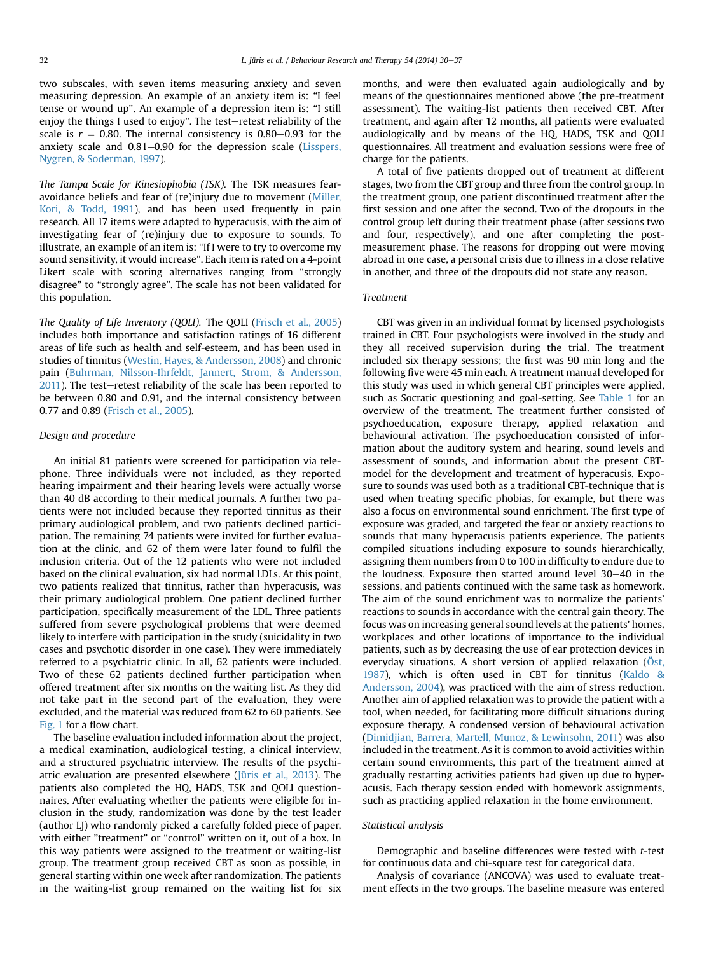two subscales, with seven items measuring anxiety and seven measuring depression. An example of an anxiety item is: "I feel tense or wound up". An example of a depression item is: "I still enjoy the things I used to enjoy". The test-retest reliability of the scale is  $r = 0.80$ . The internal consistency is  $0.80-0.93$  for the anxiety scale and  $0.81-0.90$  for the depression scale [\(Lisspers,](#page-6-0) [Nygren, & Soderman, 1997](#page-6-0)).

The Tampa Scale for Kinesiophobia (TSK). The TSK measures fearavoidance beliefs and fear of (re)injury due to movement ([Miller,](#page-7-0) [Kori, & Todd, 1991\)](#page-7-0), and has been used frequently in pain research. All 17 items were adapted to hyperacusis, with the aim of investigating fear of (re)injury due to exposure to sounds. To illustrate, an example of an item is: "If I were to try to overcome my sound sensitivity, it would increase". Each item is rated on a 4-point Likert scale with scoring alternatives ranging from "strongly disagree" to "strongly agree". The scale has not been validated for this population.

The Quality of Life Inventory (QOLI). The QOLI ([Frisch et al., 2005\)](#page-6-0) includes both importance and satisfaction ratings of 16 different areas of life such as health and self-esteem, and has been used in studies of tinnitus ([Westin, Hayes, & Andersson, 2008](#page-7-0)) and chronic pain ([Buhrman, Nilsson-Ihrfeldt, Jannert, Strom, & Andersson,](#page-6-0)  $2011$ ). The test-retest reliability of the scale has been reported to be between 0.80 and 0.91, and the internal consistency between 0.77 and 0.89 ([Frisch et al., 2005](#page-6-0)).

# Design and procedure

An initial 81 patients were screened for participation via telephone. Three individuals were not included, as they reported hearing impairment and their hearing levels were actually worse than 40 dB according to their medical journals. A further two patients were not included because they reported tinnitus as their primary audiological problem, and two patients declined participation. The remaining 74 patients were invited for further evaluation at the clinic, and 62 of them were later found to fulfil the inclusion criteria. Out of the 12 patients who were not included based on the clinical evaluation, six had normal LDLs. At this point, two patients realized that tinnitus, rather than hyperacusis, was their primary audiological problem. One patient declined further participation, specifically measurement of the LDL. Three patients suffered from severe psychological problems that were deemed likely to interfere with participation in the study (suicidality in two cases and psychotic disorder in one case). They were immediately referred to a psychiatric clinic. In all, 62 patients were included. Two of these 62 patients declined further participation when offered treatment after six months on the waiting list. As they did not take part in the second part of the evaluation, they were excluded, and the material was reduced from 62 to 60 patients. See [Fig. 1](#page-3-0) for a flow chart.

The baseline evaluation included information about the project, a medical examination, audiological testing, a clinical interview, and a structured psychiatric interview. The results of the psychiatric evaluation are presented elsewhere ([Jüris et al., 2013\)](#page-6-0). The patients also completed the HQ, HADS, TSK and QOLI questionnaires. After evaluating whether the patients were eligible for inclusion in the study, randomization was done by the test leader (author LJ) who randomly picked a carefully folded piece of paper, with either "treatment" or "control" written on it, out of a box. In this way patients were assigned to the treatment or waiting-list group. The treatment group received CBT as soon as possible, in general starting within one week after randomization. The patients in the waiting-list group remained on the waiting list for six months, and were then evaluated again audiologically and by means of the questionnaires mentioned above (the pre-treatment assessment). The waiting-list patients then received CBT. After treatment, and again after 12 months, all patients were evaluated audiologically and by means of the HQ, HADS, TSK and QOLI questionnaires. All treatment and evaluation sessions were free of charge for the patients.

A total of five patients dropped out of treatment at different stages, two from the CBT group and three from the control group. In the treatment group, one patient discontinued treatment after the first session and one after the second. Two of the dropouts in the control group left during their treatment phase (after sessions two and four, respectively), and one after completing the postmeasurement phase. The reasons for dropping out were moving abroad in one case, a personal crisis due to illness in a close relative in another, and three of the dropouts did not state any reason.

### Treatment

CBT was given in an individual format by licensed psychologists trained in CBT. Four psychologists were involved in the study and they all received supervision during the trial. The treatment included six therapy sessions; the first was 90 min long and the following five were 45 min each. A treatment manual developed for this study was used in which general CBT principles were applied, such as Socratic questioning and goal-setting. See [Table 1](#page-4-0) for an overview of the treatment. The treatment further consisted of psychoeducation, exposure therapy, applied relaxation and behavioural activation. The psychoeducation consisted of information about the auditory system and hearing, sound levels and assessment of sounds, and information about the present CBTmodel for the development and treatment of hyperacusis. Exposure to sounds was used both as a traditional CBT-technique that is used when treating specific phobias, for example, but there was also a focus on environmental sound enrichment. The first type of exposure was graded, and targeted the fear or anxiety reactions to sounds that many hyperacusis patients experience. The patients compiled situations including exposure to sounds hierarchically, assigning them numbers from 0 to 100 in difficulty to endure due to the loudness. Exposure then started around level  $30-40$  in the sessions, and patients continued with the same task as homework. The aim of the sound enrichment was to normalize the patients' reactions to sounds in accordance with the central gain theory. The focus was on increasing general sound levels at the patients' homes, workplaces and other locations of importance to the individual patients, such as by decreasing the use of ear protection devices in everyday situations. A short version of applied relaxation [\(Öst,](#page-7-0) [1987](#page-7-0)), which is often used in CBT for tinnitus ([Kaldo &](#page-6-0) [Andersson, 2004\)](#page-6-0), was practiced with the aim of stress reduction. Another aim of applied relaxation was to provide the patient with a tool, when needed, for facilitating more difficult situations during exposure therapy. A condensed version of behavioural activation ([Dimidjian, Barrera, Martell, Munoz, & Lewinsohn, 2011](#page-6-0)) was also included in the treatment. As it is common to avoid activities within certain sound environments, this part of the treatment aimed at gradually restarting activities patients had given up due to hyperacusis. Each therapy session ended with homework assignments, such as practicing applied relaxation in the home environment.

#### Statistical analysis

Demographic and baseline differences were tested with t-test for continuous data and chi-square test for categorical data.

Analysis of covariance (ANCOVA) was used to evaluate treatment effects in the two groups. The baseline measure was entered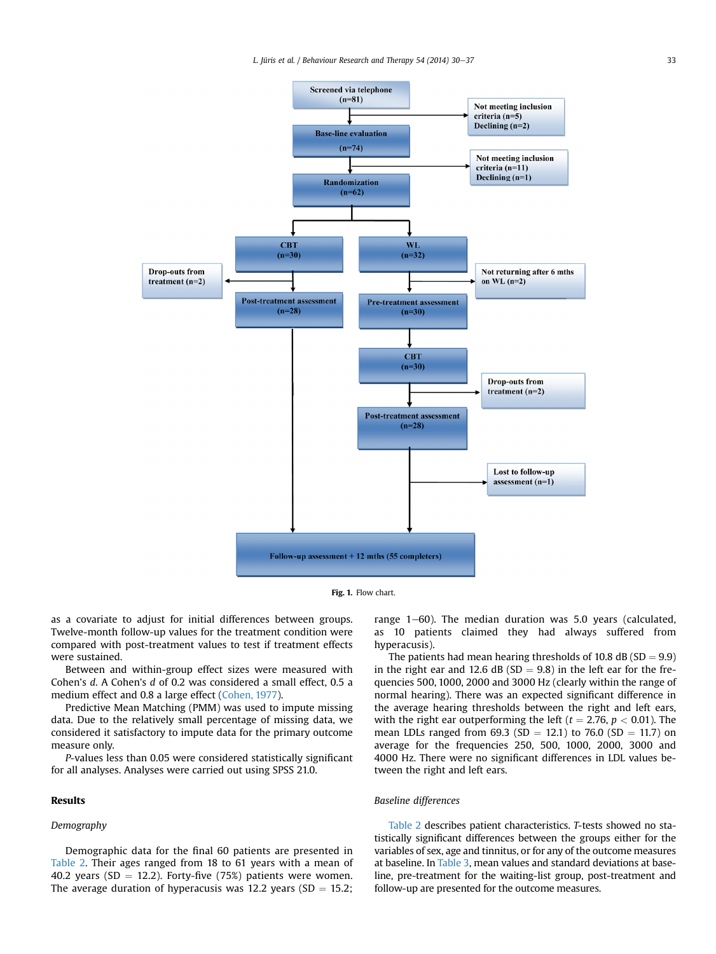<span id="page-3-0"></span>

Fig. 1. Flow chart.

as a covariate to adjust for initial differences between groups. Twelve-month follow-up values for the treatment condition were compared with post-treatment values to test if treatment effects were sustained.

Between and within-group effect sizes were measured with Cohen's d. A Cohen's d of 0.2 was considered a small effect, 0.5 a medium effect and 0.8 a large effect ([Cohen, 1977\)](#page-6-0).

Predictive Mean Matching (PMM) was used to impute missing data. Due to the relatively small percentage of missing data, we considered it satisfactory to impute data for the primary outcome measure only.

P-values less than 0.05 were considered statistically significant for all analyses. Analyses were carried out using SPSS 21.0.

# Results

# Demography

Demographic data for the final 60 patients are presented in [Table 2](#page-4-0). Their ages ranged from 18 to 61 years with a mean of 40.2 years (SD  $=$  12.2). Forty-five (75%) patients were women. The average duration of hyperacusis was 12.2 years (SD  $=$  15.2; range  $1-60$ ). The median duration was 5.0 years (calculated, as 10 patients claimed they had always suffered from hyperacusis).

The patients had mean hearing thresholds of 10.8 dB (SD  $= 9.9$ ) in the right ear and 12.6 dB (SD  $= 9.8$ ) in the left ear for the frequencies 500, 1000, 2000 and 3000 Hz (clearly within the range of normal hearing). There was an expected significant difference in the average hearing thresholds between the right and left ears, with the right ear outperforming the left ( $t = 2.76$ ,  $p < 0.01$ ). The mean LDLs ranged from 69.3 (SD = 12.1) to 76.0 (SD = 11.7) on average for the frequencies 250, 500, 1000, 2000, 3000 and 4000 Hz. There were no significant differences in LDL values between the right and left ears.

# Baseline differences

[Table 2](#page-4-0) describes patient characteristics. T-tests showed no statistically significant differences between the groups either for the variables of sex, age and tinnitus, or for any of the outcome measures at baseline. In [Table 3](#page-4-0), mean values and standard deviations at baseline, pre-treatment for the waiting-list group, post-treatment and follow-up are presented for the outcome measures.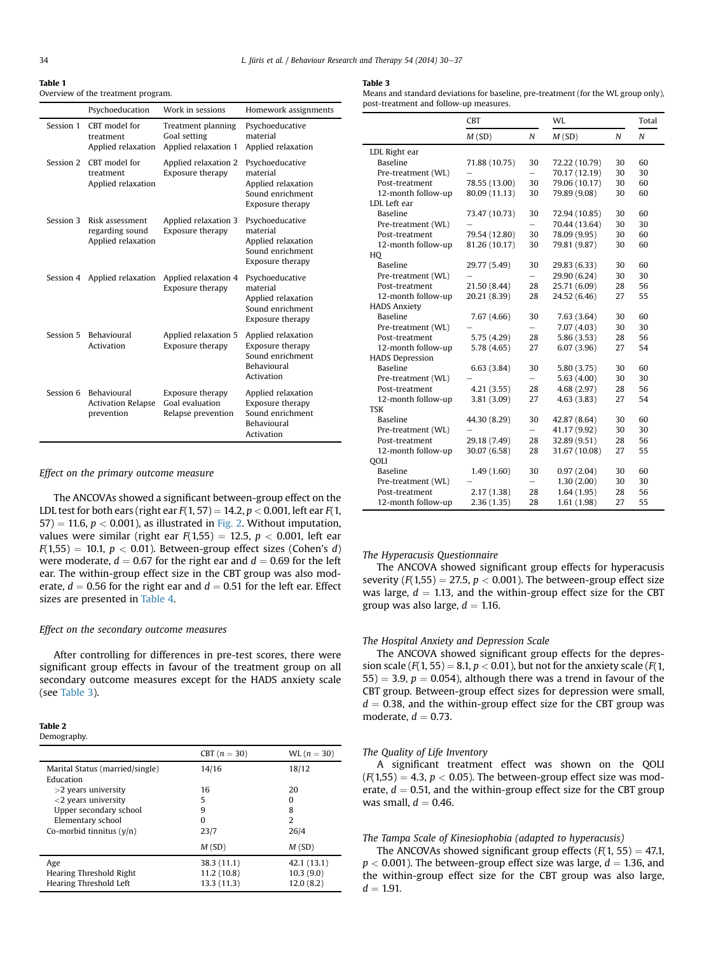#### <span id="page-4-0"></span>Table 1

Overview of the treatment program.

|           | Psychoeducation                                               | Work in sessions                                           | Homework assignments                                                                           |
|-----------|---------------------------------------------------------------|------------------------------------------------------------|------------------------------------------------------------------------------------------------|
| Session 1 | CBT model for<br>treatment<br>Applied relaxation              | Treatment planning<br>Goal setting<br>Applied relaxation 1 | Psychoeducative<br>material<br>Applied relaxation                                              |
| Session 2 | CBT model for<br>treatment<br>Applied relaxation              | Applied relaxation 2<br>Exposure therapy                   | Psychoeducative<br>material<br>Applied relaxation<br>Sound enrichment<br>Exposure therapy      |
| Session 3 | Risk assessment<br>regarding sound<br>Applied relaxation      | Applied relaxation 3<br>Exposure therapy                   | Psychoeducative<br>material<br>Applied relaxation<br>Sound enrichment<br>Exposure therapy      |
| Session 4 | Applied relaxation                                            | Applied relaxation 4<br>Exposure therapy                   | Psychoeducative<br>material<br>Applied relaxation<br>Sound enrichment<br>Exposure therapy      |
| Session 5 | Behavioural<br>Activation                                     | Applied relaxation 5<br>Exposure therapy                   | Applied relaxation<br>Exposure therapy<br>Sound enrichment<br><b>Behavioural</b><br>Activation |
| Session 6 | <b>Behavioural</b><br><b>Activation Relapse</b><br>prevention | Exposure therapy<br>Goal evaluation<br>Relapse prevention  | Applied relaxation<br>Exposure therapy<br>Sound enrichment<br><b>Behavioural</b><br>Activation |

### Effect on the primary outcome measure

The ANCOVAs showed a significant between-group effect on the LDL test for both ears (right ear  $F(1, 57) = 14.2$ ,  $p < 0.001$ , left ear  $F(1, 57)$  $57$ ) = 11.6,  $p < 0.001$ ), as illustrated in [Fig. 2](#page-5-0). Without imputation, values were similar (right ear  $F(1,55) = 12.5$ ,  $p < 0.001$ , left ear  $F(1,55) = 10.1, p < 0.01$ ). Between-group effect sizes (Cohen's d) were moderate,  $d = 0.67$  for the right ear and  $d = 0.69$  for the left ear. The within-group effect size in the CBT group was also moderate,  $d = 0.56$  for the right ear and  $d = 0.51$  for the left ear. Effect sizes are presented in [Table 4](#page-5-0).

### Effect on the secondary outcome measures

After controlling for differences in pre-test scores, there were significant group effects in favour of the treatment group on all secondary outcome measures except for the HADS anxiety scale (see Table 3).

### Table 2 Demography.

|                                 | CBT $(n = 30)$ | WL $(n = 30)$ |
|---------------------------------|----------------|---------------|
| Marital Status (married/single) | 14/16          | 18/12         |
| Education                       |                |               |
| $>$ 2 years university          | 16             | 20            |
| $<$ 2 years university          | 5              | 0             |
| Upper secondary school          | 9              | 8             |
| Elementary school               | O              | $\mathcal{L}$ |
| Co-morbid tinnitus $(y/n)$      | 23/7           | 26/4          |
|                                 | M(SD)          | M(SD)         |
| Age                             | 38.3(11.1)     | 42.1(13.1)    |
| Hearing Threshold Right         | 11.2 (10.8)    | 10.3(9.0)     |
| Hearing Threshold Left          | 13.3(11.3)     | 12.0(8.2)     |
|                                 |                |               |

#### Table 3

Means and standard deviations for baseline, pre-treatment (for the WL group only), post-treatment and follow-up measures.

|                        | <b>CBT</b>    |                          | WI.           |    | Total          |
|------------------------|---------------|--------------------------|---------------|----|----------------|
|                        | M(SD)         | N                        | M(SD)         | N  | $\overline{N}$ |
| LDL Right ear          |               |                          |               |    |                |
| Baseline               | 71.88 (10.75) | 30                       | 72.22 (10.79) | 30 | 60             |
| Pre-treatment (WL)     |               | -                        | 70.17 (12.19) | 30 | 30             |
| Post-treatment         | 78.55 (13.00) | 30                       | 79.06 (10.17) | 30 | 60             |
| 12-month follow-up     | 80.09 (11.13) | 30                       | 79.89 (9.08)  | 30 | 60             |
| LDL Left ear           |               |                          |               |    |                |
| Baseline               | 73.47 (10.73) | 30                       | 72.94 (10.85) | 30 | 60             |
| Pre-treatment (WL)     |               |                          | 70.44 (13.64) | 30 | 30             |
| Post-treatment         | 79.54 (12.80) | 30                       | 78.09 (9.95)  | 30 | 60             |
| 12-month follow-up     | 81.26 (10.17) | 30                       | 79.81 (9.87)  | 30 | 60             |
| HO                     |               |                          |               |    |                |
| Baseline               | 29.77 (5.49)  | 30                       | 29.83 (6.33)  | 30 | 60             |
| Pre-treatment (WL)     |               | -                        | 29.90 (6.24)  | 30 | 30             |
| Post-treatment         | 21.50 (8.44)  | 28                       | 25.71 (6.09)  | 28 | 56             |
| 12-month follow-up     | 20.21 (8.39)  | 28                       | 24.52 (6.46)  | 27 | 55             |
| <b>HADS Anxiety</b>    |               |                          |               |    |                |
| Baseline               | 7.67 (4.66)   | 30                       | 7.63(3.64)    | 30 | 60             |
| Pre-treatment (WL)     |               |                          | 7.07(4.03)    | 30 | 30             |
| Post-treatment         | 5.75(4.29)    | 28                       | 5.86(3.53)    | 28 | 56             |
| 12-month follow-up     | 5.78 (4.65)   | 27                       | 6.07(3.96)    | 27 | 54             |
| <b>HADS</b> Depression |               |                          |               |    |                |
| <b>Baseline</b>        | 6.63(3.84)    | 30                       | 5.80 (3.75)   | 30 | 60             |
| Pre-treatment (WL)     |               |                          | 5.63(4.00)    | 30 | 30             |
| Post-treatment         | 4.21(3.55)    | 28                       | 4.68 (2.97)   | 28 | 56             |
| 12-month follow-up     | 3.81 (3.09)   | 27                       | 4.63 (3.83)   | 27 | 54             |
| <b>TSK</b>             |               |                          |               |    |                |
| <b>Baseline</b>        | 44.30 (8.29)  | 30                       | 42.87 (8.64)  | 30 | 60             |
| Pre-treatment (WL)     |               | $\overline{\phantom{0}}$ | 41.17 (9.92)  | 30 | 30             |
| Post-treatment         | 29.18 (7.49)  | 28                       | 32.89 (9.51)  | 28 | 56             |
| 12-month follow-up     | 30.07 (6.58)  | 28                       | 31.67 (10.08) | 27 | 55             |
| <b>OOLI</b>            |               |                          |               |    |                |
| Baseline               | 1.49 (1.60)   | 30                       | 0.97(2.04)    | 30 | 60             |
| Pre-treatment (WL)     |               |                          | 1.30(2.00)    | 30 | 30             |
| Post-treatment         | 2.17(1.38)    | 28                       | 1.64(1.95)    | 28 | 56             |
| 12-month follow-up     | 2.36(1.35)    | 28                       | 1.61(1.98)    | 27 | 55             |

### The Hyperacusis Questionnaire

The ANCOVA showed significant group effects for hyperacusis severity  $(F(1,55) = 27.5, p < 0.001)$ . The between-group effect size was large,  $d = 1.13$ , and the within-group effect size for the CBT group was also large,  $d = 1.16$ .

### The Hospital Anxiety and Depression Scale

The ANCOVA showed significant group effects for the depression scale ( $F(1, 55) = 8.1$ ,  $p < 0.01$ ), but not for the anxiety scale ( $F(1, 55) = 8.1$ )  $(55) = 3.9$ ,  $p = 0.054$ ), although there was a trend in favour of the CBT group. Between-group effect sizes for depression were small,  $d = 0.38$ , and the within-group effect size for the CBT group was moderate,  $d = 0.73$ .

# The Quality of Life Inventory

A significant treatment effect was shown on the QOLI  $(F(1,55) = 4.3, p < 0.05)$ . The between-group effect size was moderate,  $d = 0.51$ , and the within-group effect size for the CBT group was small,  $d = 0.46$ .

# The Tampa Scale of Kinesiophobia (adapted to hyperacusis)

The ANCOVAs showed significant group effects  $(F(1, 55) = 47.1,$  $p < 0.001$ ). The between-group effect size was large,  $d = 1.36$ , and the within-group effect size for the CBT group was also large,  $d = 1.91.$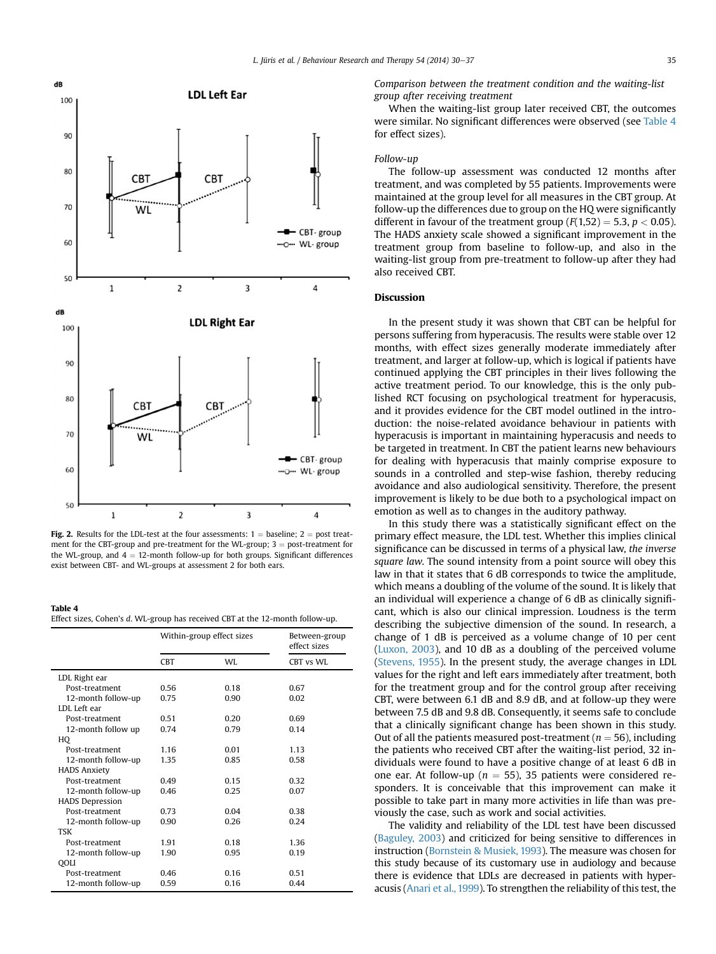<span id="page-5-0"></span>

Fig. 2. Results for the LDL-test at the four assessments:  $1 =$  baseline;  $2 =$  post treatment for the CBT-group and pre-treatment for the WL-group;  $3 =$  post-treatment for the WL-group, and  $4 = 12$ -month follow-up for both groups. Significant differences exist between CBT- and WL-groups at assessment 2 for both ears.

#### Table 4 Effect sizes, Cohen's d. WL-group has received CBT at the 12-month follow-up.

|                        | Within-group effect sizes |      | Between-group<br>effect sizes<br>CBT vs WL |  |
|------------------------|---------------------------|------|--------------------------------------------|--|
|                        | <b>CBT</b><br>WI.         |      |                                            |  |
| LDL Right ear          |                           |      |                                            |  |
| Post-treatment         | 0.56                      | 0.18 | 0.67                                       |  |
| 12-month follow-up     | 0.75                      | 0.90 | 0.02                                       |  |
| LDL Left ear           |                           |      |                                            |  |
| Post-treatment         | 0.51                      | 0.20 | 0.69                                       |  |
| 12-month follow up     | 0.74                      | 0.79 | 0.14                                       |  |
| HO                     |                           |      |                                            |  |
| Post-treatment         | 1.16                      | 0.01 | 1.13                                       |  |
| 12-month follow-up     | 1.35                      | 0.85 | 0.58                                       |  |
| <b>HADS Anxiety</b>    |                           |      |                                            |  |
| Post-treatment         | 0.49                      | 0.15 | 0.32                                       |  |
| 12-month follow-up     | 0.46                      | 0.25 | 0.07                                       |  |
| <b>HADS Depression</b> |                           |      |                                            |  |
| Post-treatment         | 0.73                      | 0.04 | 0.38                                       |  |
| 12-month follow-up     | 0.90                      | 0.26 | 0.24                                       |  |
| TSK                    |                           |      |                                            |  |
| Post-treatment         | 1.91                      | 0.18 | 1.36                                       |  |
| 12-month follow-up     | 1.90                      | 0.95 | 0.19                                       |  |
| OOLI                   |                           |      |                                            |  |
| Post-treatment         | 0.46                      | 0.16 | 0.51                                       |  |
| 12-month follow-up     | 0.59                      | 0.16 | 0.44                                       |  |

Comparison between the treatment condition and the waiting-list group after receiving treatment

When the waiting-list group later received CBT, the outcomes were similar. No significant differences were observed (see Table 4 for effect sizes).

# Follow-up

The follow-up assessment was conducted 12 months after treatment, and was completed by 55 patients. Improvements were maintained at the group level for all measures in the CBT group. At follow-up the differences due to group on the HQ were significantly different in favour of the treatment group  $(F(1,52) = 5.3, p < 0.05)$ . The HADS anxiety scale showed a significant improvement in the treatment group from baseline to follow-up, and also in the waiting-list group from pre-treatment to follow-up after they had also received CBT.

# Discussion

In the present study it was shown that CBT can be helpful for persons suffering from hyperacusis. The results were stable over 12 months, with effect sizes generally moderate immediately after treatment, and larger at follow-up, which is logical if patients have continued applying the CBT principles in their lives following the active treatment period. To our knowledge, this is the only published RCT focusing on psychological treatment for hyperacusis, and it provides evidence for the CBT model outlined in the introduction: the noise-related avoidance behaviour in patients with hyperacusis is important in maintaining hyperacusis and needs to be targeted in treatment. In CBT the patient learns new behaviours for dealing with hyperacusis that mainly comprise exposure to sounds in a controlled and step-wise fashion, thereby reducing avoidance and also audiological sensitivity. Therefore, the present improvement is likely to be due both to a psychological impact on emotion as well as to changes in the auditory pathway.

In this study there was a statistically significant effect on the primary effect measure, the LDL test. Whether this implies clinical significance can be discussed in terms of a physical law, the inverse square law. The sound intensity from a point source will obey this law in that it states that 6 dB corresponds to twice the amplitude, which means a doubling of the volume of the sound. It is likely that an individual will experience a change of 6 dB as clinically significant, which is also our clinical impression. Loudness is the term describing the subjective dimension of the sound. In research, a change of 1 dB is perceived as a volume change of 10 per cent ([Luxon, 2003\)](#page-6-0), and 10 dB as a doubling of the perceived volume ([Stevens, 1955](#page-7-0)). In the present study, the average changes in LDL values for the right and left ears immediately after treatment, both for the treatment group and for the control group after receiving CBT, were between 6.1 dB and 8.9 dB, and at follow-up they were between 7.5 dB and 9.8 dB. Consequently, it seems safe to conclude that a clinically significant change has been shown in this study. Out of all the patients measured post-treatment ( $n = 56$ ), including the patients who received CBT after the waiting-list period, 32 individuals were found to have a positive change of at least 6 dB in one ear. At follow-up ( $n = 55$ ), 35 patients were considered responders. It is conceivable that this improvement can make it possible to take part in many more activities in life than was previously the case, such as work and social activities.

The validity and reliability of the LDL test have been discussed [\(Baguley, 2003](#page-6-0)) and criticized for being sensitive to differences in instruction [\(Bornstein & Musiek, 1993\)](#page-6-0). The measure was chosen for this study because of its customary use in audiology and because there is evidence that LDLs are decreased in patients with hyperacusis [\(Anari et al., 1999\)](#page-6-0). To strengthen the reliability of this test, the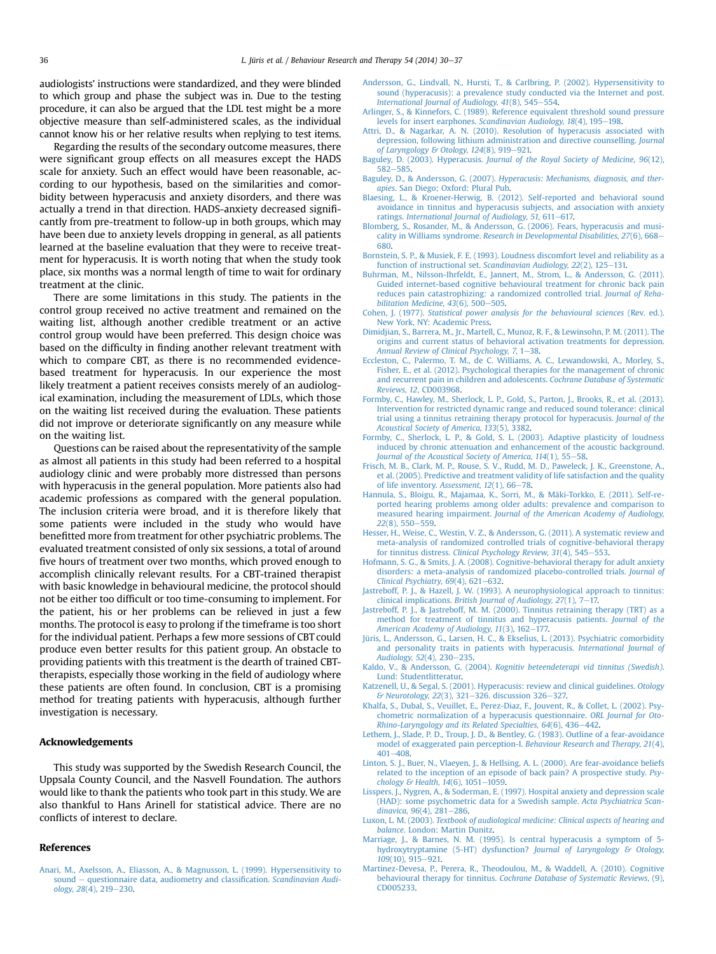<span id="page-6-0"></span>audiologists' instructions were standardized, and they were blinded to which group and phase the subject was in. Due to the testing procedure, it can also be argued that the LDL test might be a more objective measure than self-administered scales, as the individual cannot know his or her relative results when replying to test items.

Regarding the results of the secondary outcome measures, there were significant group effects on all measures except the HADS scale for anxiety. Such an effect would have been reasonable, according to our hypothesis, based on the similarities and comorbidity between hyperacusis and anxiety disorders, and there was actually a trend in that direction. HADS-anxiety decreased significantly from pre-treatment to follow-up in both groups, which may have been due to anxiety levels dropping in general, as all patients learned at the baseline evaluation that they were to receive treatment for hyperacusis. It is worth noting that when the study took place, six months was a normal length of time to wait for ordinary treatment at the clinic.

There are some limitations in this study. The patients in the control group received no active treatment and remained on the waiting list, although another credible treatment or an active control group would have been preferred. This design choice was based on the difficulty in finding another relevant treatment with which to compare CBT, as there is no recommended evidencebased treatment for hyperacusis. In our experience the most likely treatment a patient receives consists merely of an audiological examination, including the measurement of LDLs, which those on the waiting list received during the evaluation. These patients did not improve or deteriorate significantly on any measure while on the waiting list.

Questions can be raised about the representativity of the sample as almost all patients in this study had been referred to a hospital audiology clinic and were probably more distressed than persons with hyperacusis in the general population. More patients also had academic professions as compared with the general population. The inclusion criteria were broad, and it is therefore likely that some patients were included in the study who would have benefitted more from treatment for other psychiatric problems. The evaluated treatment consisted of only six sessions, a total of around five hours of treatment over two months, which proved enough to accomplish clinically relevant results. For a CBT-trained therapist with basic knowledge in behavioural medicine, the protocol should not be either too difficult or too time-consuming to implement. For the patient, his or her problems can be relieved in just a few months. The protocol is easy to prolong if the timeframe is too short for the individual patient. Perhaps a few more sessions of CBT could produce even better results for this patient group. An obstacle to providing patients with this treatment is the dearth of trained CBTtherapists, especially those working in the field of audiology where these patients are often found. In conclusion, CBT is a promising method for treating patients with hyperacusis, although further investigation is necessary.

### Acknowledgements

This study was supported by the Swedish Research Council, the Uppsala County Council, and the Nasvell Foundation. The authors would like to thank the patients who took part in this study. We are also thankful to Hans Arinell for statistical advice. There are no conflicts of interest to declare.

#### References

[Anari, M., Axelsson, A., Eliasson, A., & Magnusson, L. \(1999\). Hypersensitivity to](http://refhub.elsevier.com/S0005-7967(14)00008-4/sref1) [sound](http://refhub.elsevier.com/S0005-7967(14)00008-4/sref1) - [questionnaire data, audiometry and classi](http://refhub.elsevier.com/S0005-7967(14)00008-4/sref1)fication. Scandinavian Audi[ology, 28](http://refhub.elsevier.com/S0005-7967(14)00008-4/sref1)(4), 219-[230](http://refhub.elsevier.com/S0005-7967(14)00008-4/sref1).

- [Andersson, G., Lindvall, N., Hursti, T., & Carlbring, P. \(2002\). Hypersensitivity to](http://refhub.elsevier.com/S0005-7967(14)00008-4/sref2) [sound \(hyperacusis\): a prevalence study conducted via the Internet and post.](http://refhub.elsevier.com/S0005-7967(14)00008-4/sref2) [International Journal of Audiology, 41](http://refhub.elsevier.com/S0005-7967(14)00008-4/sref2)(8), 545-[554.](http://refhub.elsevier.com/S0005-7967(14)00008-4/sref2)
- [Arlinger, S., & Kinnefors, C. \(1989\). Reference equivalent threshold sound pressure](http://refhub.elsevier.com/S0005-7967(14)00008-4/sref3) [levels for insert earphones.](http://refhub.elsevier.com/S0005-7967(14)00008-4/sref3) Scandinavian Audiology,  $18(4)$ ,  $195-198$ .
- [Attri, D., & Nagarkar, A. N. \(2010\). Resolution of hyperacusis associated with](http://refhub.elsevier.com/S0005-7967(14)00008-4/sref4) [depression, following lithium administration and directive counselling.](http://refhub.elsevier.com/S0005-7967(14)00008-4/sref4) Journal of Laryngology & Otology,  $124(8)$ ,  $919-921$ .
- Baguley, D. (2003). Hyperacusis. [Journal of the Royal Society of Medicine, 96](http://refhub.elsevier.com/S0005-7967(14)00008-4/sref5)(12),  $582 - 585$  $582 - 585$ .
- Baguley, D., & Andersson, G. (2007). [Hyperacusis: Mechanisms, diagnosis, and ther](http://refhub.elsevier.com/S0005-7967(14)00008-4/sref6)apies[. San Diego; Oxford: Plural Pub.](http://refhub.elsevier.com/S0005-7967(14)00008-4/sref6)
- [Blaesing, L., & Kroener-Herwig, B. \(2012\). Self-reported and behavioral sound](http://refhub.elsevier.com/S0005-7967(14)00008-4/sref7) [avoidance in tinnitus and hyperacusis subjects, and association with anxiety](http://refhub.elsevier.com/S0005-7967(14)00008-4/sref7) ratings. [International Journal of Audiology, 51](http://refhub.elsevier.com/S0005-7967(14)00008-4/sref7), 611-[617.](http://refhub.elsevier.com/S0005-7967(14)00008-4/sref7)
- [Blomberg, S., Rosander, M., & Andersson, G. \(2006\). Fears, hyperacusis and musi-](http://refhub.elsevier.com/S0005-7967(14)00008-4/sref8)cality in Williams syndrome. [Research in Developmental Disabilities, 27](http://refhub.elsevier.com/S0005-7967(14)00008-4/sref8)(6), 668-[680](http://refhub.elsevier.com/S0005-7967(14)00008-4/sref8).
- [Bornstein, S. P., & Musiek, F. E. \(1993\). Loudness discomfort level and reliability as a](http://refhub.elsevier.com/S0005-7967(14)00008-4/sref9) [function of instructional set.](http://refhub.elsevier.com/S0005-7967(14)00008-4/sref9) Scandinavian Audiology, 22(2), 125-[131.](http://refhub.elsevier.com/S0005-7967(14)00008-4/sref9)
- [Buhrman, M., Nilsson-Ihrfeldt, E., Jannert, M., Strom, L., & Andersson, G. \(2011\).](http://refhub.elsevier.com/S0005-7967(14)00008-4/sref10) [Guided internet-based cognitive behavioural treatment for chronic back pain](http://refhub.elsevier.com/S0005-7967(14)00008-4/sref10) [reduces pain catastrophizing: a randomized controlled trial.](http://refhub.elsevier.com/S0005-7967(14)00008-4/sref10) Journal of Rehabilitation Medicine,  $43(6)$ ,  $500-505$ .
- Cohen, J. (1977). [Statistical power analysis for the behavioural sciences](http://refhub.elsevier.com/S0005-7967(14)00008-4/sref11a) (Rev. ed.). [New York, NY: Academic Press](http://refhub.elsevier.com/S0005-7967(14)00008-4/sref11a).
- [Dimidjian, S., Barrera, M., Jr., Martell, C., Munoz, R. F., & Lewinsohn, P. M. \(2011\). The](http://refhub.elsevier.com/S0005-7967(14)00008-4/sref12) [origins and current status of behavioral activation treatments for depression.](http://refhub.elsevier.com/S0005-7967(14)00008-4/sref12) [Annual Review of Clinical Psychology, 7](http://refhub.elsevier.com/S0005-7967(14)00008-4/sref12), 1-[38](http://refhub.elsevier.com/S0005-7967(14)00008-4/sref12).
- [Eccleston, C., Palermo, T. M., de C. Williams, A. C., Lewandowski, A., Morley, S.,](http://refhub.elsevier.com/S0005-7967(14)00008-4/sref13) [Fisher, E., et al. \(2012\). Psychological therapies for the management of chronic](http://refhub.elsevier.com/S0005-7967(14)00008-4/sref13) [and recurrent pain in children and adolescents.](http://refhub.elsevier.com/S0005-7967(14)00008-4/sref13) Cochrane Database of Systematic Reviews, 12[, CD003968.](http://refhub.elsevier.com/S0005-7967(14)00008-4/sref13)
- [Formby, C., Hawley, M., Sherlock, L. P., Gold, S., Parton, J., Brooks, R., et al. \(2013\).](http://refhub.elsevier.com/S0005-7967(14)00008-4/sref14) [Intervention for restricted dynamic range and reduced sound tolerance: clinical](http://refhub.elsevier.com/S0005-7967(14)00008-4/sref14) [trial using a tinnitus retraining therapy protocol for hyperacusis.](http://refhub.elsevier.com/S0005-7967(14)00008-4/sref14) Journal of the [Acoustical Society of America, 133](http://refhub.elsevier.com/S0005-7967(14)00008-4/sref14)(5), 3382.
- [Formby, C., Sherlock, L. P., & Gold, S. L. \(2003\). Adaptive plasticity of loudness](http://refhub.elsevier.com/S0005-7967(14)00008-4/sref15) [induced by chronic attenuation and enhancement of the acoustic background.](http://refhub.elsevier.com/S0005-7967(14)00008-4/sref15) [Journal of the Acoustical Society of America, 114](http://refhub.elsevier.com/S0005-7967(14)00008-4/sref15)(1), 55-[58.](http://refhub.elsevier.com/S0005-7967(14)00008-4/sref15)
- [Frisch, M. B., Clark, M. P., Rouse, S. V., Rudd, M. D., Paweleck, J. K., Greenstone, A.,](http://refhub.elsevier.com/S0005-7967(14)00008-4/sref16) [et al. \(2005\). Predictive and treatment validity of life satisfaction and the quality](http://refhub.elsevier.com/S0005-7967(14)00008-4/sref16) [of life inventory.](http://refhub.elsevier.com/S0005-7967(14)00008-4/sref16) Assessment,  $12(1)$ ,  $66-78$ .
- [Hannula, S., Bloigu, R., Majamaa, K., Sorri, M., & Mäki-Torkko, E. \(2011\). Self-re](http://refhub.elsevier.com/S0005-7967(14)00008-4/sref17)[ported hearing problems among older adults: prevalence and comparison to](http://refhub.elsevier.com/S0005-7967(14)00008-4/sref17) measured hearing impairment. [Journal of the American Academy of Audiology,](http://refhub.elsevier.com/S0005-7967(14)00008-4/sref17)  $22(8)$ , 550-[559](http://refhub.elsevier.com/S0005-7967(14)00008-4/sref17).
- [Hesser, H., Weise, C., Westin, V. Z., & Andersson, G. \(2011\). A systematic review and](http://refhub.elsevier.com/S0005-7967(14)00008-4/sref18) [meta-analysis of randomized controlled trials of cognitive-behavioral therapy](http://refhub.elsevier.com/S0005-7967(14)00008-4/sref18) for tinnitus distress. Clinical Psychology Review,  $31(4)$ , 545-[553](http://refhub.elsevier.com/S0005-7967(14)00008-4/sref18).
- [Hofmann, S. G., & Smits, J. A. \(2008\). Cognitive-behavioral therapy for adult anxiety](http://refhub.elsevier.com/S0005-7967(14)00008-4/sref19) [disorders: a meta-analysis of randomized placebo-controlled trials.](http://refhub.elsevier.com/S0005-7967(14)00008-4/sref19) Journal of Clinical Psychiatry,  $69(4)$ ,  $621-632$  $621-632$ .
- [Jastreboff, P. J., & Hazell, J. W. \(1993\). A neurophysiological approach to tinnitus:](http://refhub.elsevier.com/S0005-7967(14)00008-4/sref20) clinical implications. British Journal of Audiology,  $27(1)$ ,  $7-17$ .
- [Jastreboff, P. J., & Jastreboff, M. M. \(2000\). Tinnitus retraining therapy \(TRT\) as a](http://refhub.elsevier.com/S0005-7967(14)00008-4/sref21) [method for treatment of tinnitus and hyperacusis patients.](http://refhub.elsevier.com/S0005-7967(14)00008-4/sref21) Journal of the [American Academy of Audiology, 11](http://refhub.elsevier.com/S0005-7967(14)00008-4/sref21)(3), 162-[177.](http://refhub.elsevier.com/S0005-7967(14)00008-4/sref21)
- [Jüris, L., Andersson, G., Larsen, H. C., & Ekselius, L. \(2013\). Psychiatric comorbidity](http://refhub.elsevier.com/S0005-7967(14)00008-4/sref22) [and personality traits in patients with hyperacusis.](http://refhub.elsevier.com/S0005-7967(14)00008-4/sref22) International Journal of [Audiology, 52](http://refhub.elsevier.com/S0005-7967(14)00008-4/sref22)(4), 230-[235](http://refhub.elsevier.com/S0005-7967(14)00008-4/sref22).
- Kaldo, V., & Andersson, G. (2004). [Kognitiv beteendeterapi vid tinnitus \(Swedish\)](http://refhub.elsevier.com/S0005-7967(14)00008-4/sref45). [Lund: Studentlitteratur.](http://refhub.elsevier.com/S0005-7967(14)00008-4/sref45)
- [Katzenell, U., & Segal, S. \(2001\). Hyperacusis: review and clinical guidelines.](http://refhub.elsevier.com/S0005-7967(14)00008-4/sref23) Otology [& Neurotology, 22](http://refhub.elsevier.com/S0005-7967(14)00008-4/sref23)(3), 321-[326. discussion 326](http://refhub.elsevier.com/S0005-7967(14)00008-4/sref23)-[327.](http://refhub.elsevier.com/S0005-7967(14)00008-4/sref23)
- [Khalfa, S., Dubal, S., Veuillet, E., Perez-Diaz, F., Jouvent, R., & Collet, L. \(2002\). Psy](http://refhub.elsevier.com/S0005-7967(14)00008-4/sref24)[chometric normalization of a hyperacusis questionnaire.](http://refhub.elsevier.com/S0005-7967(14)00008-4/sref24) ORL Journal for Oto-[Rhino-Laryngology and its Related Specialties, 64](http://refhub.elsevier.com/S0005-7967(14)00008-4/sref24)(6), 436-[442](http://refhub.elsevier.com/S0005-7967(14)00008-4/sref24).
- [Lethem, J., Slade, P. D., Troup, J. D., & Bentley, G. \(1983\). Outline of a fear-avoidance](http://refhub.elsevier.com/S0005-7967(14)00008-4/sref25) [model of exaggerated pain perception-I.](http://refhub.elsevier.com/S0005-7967(14)00008-4/sref25) Behaviour Research and Therapy, 21(4), [401](http://refhub.elsevier.com/S0005-7967(14)00008-4/sref25)-[408.](http://refhub.elsevier.com/S0005-7967(14)00008-4/sref25)
- [Linton, S. J., Buer, N., Vlaeyen, J., & Hellsing, A. L. \(2000\). Are fear-avoidance beliefs](http://refhub.elsevier.com/S0005-7967(14)00008-4/sref26) [related to the inception of an episode of back pain? A prospective study.](http://refhub.elsevier.com/S0005-7967(14)00008-4/sref26) Psychology & Health,  $14(6)$ , 1051-[1059](http://refhub.elsevier.com/S0005-7967(14)00008-4/sref26).
- [Lisspers, J., Nygren, A., & Soderman, E. \(1997\). Hospital anxiety and depression scale](http://refhub.elsevier.com/S0005-7967(14)00008-4/sref27) [\(HAD\): some psychometric data for a Swedish sample.](http://refhub.elsevier.com/S0005-7967(14)00008-4/sref27) Acta Psychiatrica Scandinavica,  $96(4)$ ,  $281-286$  $281-286$ .
- Luxon, L. M. (2003). [Textbook of audiological medicine: Clinical aspects of hearing and](http://refhub.elsevier.com/S0005-7967(14)00008-4/sref28) balance[. London: Martin Dunitz](http://refhub.elsevier.com/S0005-7967(14)00008-4/sref28).
- [Marriage, J., & Barnes, N. M. \(1995\). Is central hyperacusis a symptom of 5](http://refhub.elsevier.com/S0005-7967(14)00008-4/sref29) [hydroxytryptamine \(5-HT\) dysfunction?](http://refhub.elsevier.com/S0005-7967(14)00008-4/sref29) Journal of Laryngology & Otology, 109[\(10\), 915](http://refhub.elsevier.com/S0005-7967(14)00008-4/sref29)-[921.](http://refhub.elsevier.com/S0005-7967(14)00008-4/sref29)
- [Martinez-Devesa, P., Perera, R., Theodoulou, M., & Waddell, A. \(2010\). Cognitive](http://refhub.elsevier.com/S0005-7967(14)00008-4/sref30) behavioural therapy for tinnitus. [Cochrane Database of Systematic Reviews](http://refhub.elsevier.com/S0005-7967(14)00008-4/sref30), (9), [CD005233](http://refhub.elsevier.com/S0005-7967(14)00008-4/sref30).